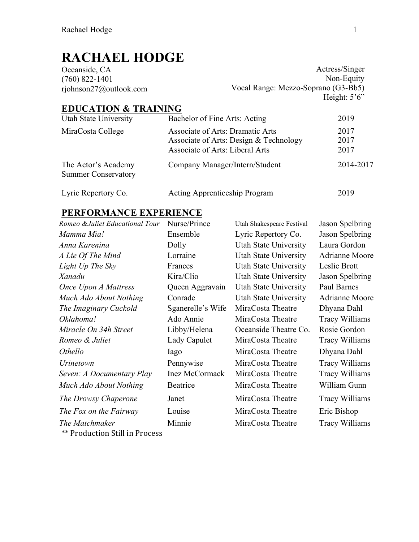# **RACHAEL HODGE**

| Actress/Singer                      |
|-------------------------------------|
| Non-Equity                          |
| Vocal Range: Mezzo-Soprano (G3-Bb5) |
| Height: $5^{\circ}6^{\circ}$        |
|                                     |

## **EDUCATION & TRAINING**

| Utah State University                             | Bachelor of Fine Arts: Acting                                                                                        | 2019                 |
|---------------------------------------------------|----------------------------------------------------------------------------------------------------------------------|----------------------|
| MiraCosta College                                 | <b>Associate of Arts: Dramatic Arts</b><br>Associate of Arts: Design & Technology<br>Associate of Arts: Liberal Arts | 2017<br>2017<br>2017 |
| The Actor's Academy<br><b>Summer Conservatory</b> | Company Manager/Intern/Student                                                                                       | 2014-2017            |
| Lyric Repertory Co.                               | <b>Acting Apprenticeship Program</b>                                                                                 | 2019                 |

### **PERFORMANCE EXPERIENCE**

| Romeo & Juliet Educational Tour       | Nurse/Prince          | Utah Shakespeare Festival | Jason Spelbring       |
|---------------------------------------|-----------------------|---------------------------|-----------------------|
| Mamma Mia!                            | Ensemble              | Lyric Repertory Co.       | Jason Spelbring       |
| Anna Karenina                         | Dolly                 | Utah State University     | Laura Gordon          |
| A Lie Of The Mind                     | Lorraine              | Utah State University     | Adrianne Moore        |
| Light Up The Sky                      | Frances               | Utah State University     | Leslie Brott          |
| Xanadu                                | Kira/Clio             | Utah State University     | Jason Spelbring       |
| <b>Once Upon A Mattress</b>           | Queen Aggravain       | Utah State University     | Paul Barnes           |
| Much Ado About Nothing                | Conrade               | Utah State University     | Adrianne Moore        |
| The Imaginary Cuckold                 | Sganerelle's Wife     | MiraCosta Theatre         | Dhyana Dahl           |
| Oklahoma!                             | Ado Annie             | MiraCosta Theatre         | <b>Tracy Williams</b> |
| Miracle On 34h Street                 | Libby/Helena          | Oceanside Theatre Co.     | Rosie Gordon          |
| Romeo & Juliet                        | Lady Capulet          | MiraCosta Theatre         | <b>Tracy Williams</b> |
| <i>Othello</i>                        | Iago                  | MiraCosta Theatre         | Dhyana Dahl           |
| <i>Urinetown</i>                      | Pennywise             | MiraCosta Theatre         | <b>Tracy Williams</b> |
| Seven: A Documentary Play             | <b>Inez McCormack</b> | MiraCosta Theatre         | <b>Tracy Williams</b> |
| Much Ado About Nothing                | Beatrice              | MiraCosta Theatre         | William Gunn          |
| The Drowsy Chaperone                  | Janet                 | MiraCosta Theatre         | <b>Tracy Williams</b> |
| The Fox on the Fairway                | Louise                | MiraCosta Theatre         | Eric Bishop           |
| The Matchmaker                        | Minnie                | MiraCosta Theatre         | <b>Tracy Williams</b> |
| <b>** Production Still in Process</b> |                       |                           |                       |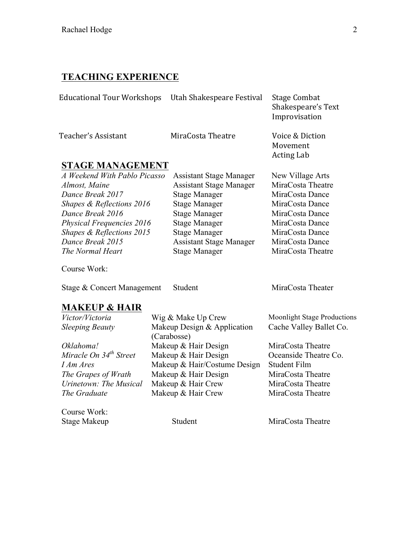#### **TEACHING EXPERIENCE**

| Educational Tour Workshops Utah Shakespeare Festival |                   | Stage Combat<br>Shakespeare's Text<br>Improvisation |
|------------------------------------------------------|-------------------|-----------------------------------------------------|
| Teacher's Assistant                                  | MiraCosta Theatre | Voice & Diction                                     |

#### **STAGE MANAGEMENT**

| A Weekend With Pablo Picas |
|----------------------------|
| Almost, Maine              |
| Dance Break 2017           |
| Shapes & Reflections 2016  |
| Dance Break 2016           |
| Physical Frequencies 2016  |
| Shapes & Reflections 2015  |
| Dance Break 2015           |
| The Normal Heart           |

*A Weekend With Pablo Picasso* Assistant Stage Manager New Village Arts Assistant Stage Manager MiraCosta Theatre **Preak 2017** Stage Manager MiraCosta Dance **Stage Manager MiraCosta Dance** *Dance Break 2016* Stage Manager MiraCosta Dance **Physical Frequencies 2016** *Physical Pance* MiraCosta Dance **Stage Manager MiraCosta Dance** Assistant Stage Manager MiraCosta Dance *The Normal Heart* Stage Manager MiraCosta Theatre

Movement **Acting Lab** 

Course Work:

Stage & Concert Management Student MiraCosta Theater

#### **MAKEUP & HAIR**

| Victor/Victoria                    | Wig & Make Up Crew           | <b>Moonlight Stage Productions</b> |
|------------------------------------|------------------------------|------------------------------------|
| <b>Sleeping Beauty</b>             | Makeup Design & Application  | Cache Valley Ballet Co.            |
|                                    | (Carabosse)                  |                                    |
| Oklahoma!                          | Makeup & Hair Design         | MiraCosta Theatre                  |
| Miracle On 34 <sup>th</sup> Street | Makeup & Hair Design         | Oceanside Theatre Co.              |
| I Am Ares                          | Makeup & Hair/Costume Design | <b>Student Film</b>                |
| The Grapes of Wrath                | Makeup & Hair Design         | MiraCosta Theatre                  |
| Urinetown: The Musical             | Makeup & Hair Crew           | MiraCosta Theatre                  |
| The Graduate                       | Makeup & Hair Crew           | MiraCosta Theatre                  |
|                                    |                              |                                    |

Course Work:

Stage Makeup Student Student MiraCosta Theatre